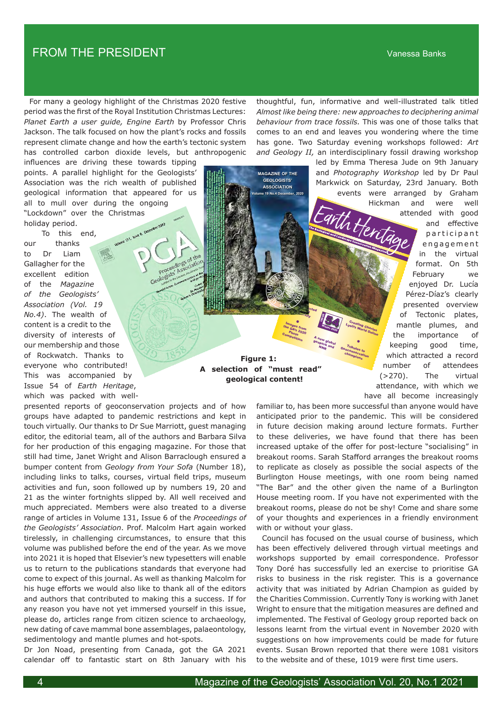## FROM THE PRESIDENT Vanessa Banks

 For many a geology highlight of the Christmas 2020 festive period was the first of the Royal Institution Christmas Lectures: *Planet Earth a user guide, Engine Earth* by Professor Chris Jackson. The talk focused on how the plant's rocks and fossils represent climate change and how the earth's tectonic system has controlled carbon dioxide levels, but anthropogenic

influences are driving these towards tipping points. A parallel highlight for the Geologists' Association was the rich wealth of published geological information that appeared for us all to mull over during the ongoing

"Lockdown" over the Christmas holiday period.

 To this end, our thanks to Dr Liam Gallagher for the excellent edition of the *Magazine of the Geologists' Association (Vol. 19 No.4)*. The wealth of content is a credit to the diversity of interests of our membership and those of Rockwatch. Thanks to everyone who contributed! This was accompanied by Issue 54 of *Earth Heritage*, which was packed with well-

presented reports of geoconservation projects and of how groups have adapted to pandemic restrictions and kept in touch virtually. Our thanks to Dr Sue Marriott, guest managing editor, the editorial team, all of the authors and Barbara Silva for her production of this engaging magazine. For those that still had time, Janet Wright and Alison Barraclough ensured a bumper content from *Geology from Your Sofa* (Number 18), including links to talks, courses, virtual field trips, museum activities and fun, soon followed up by numbers 19, 20 and 21 as the winter fortnights slipped by. All well received and much appreciated. Members were also treated to a diverse range of articles in Volume 131, Issue 6 of the *Proceedings of the Geologists' Association*. Prof. Malcolm Hart again worked tirelessly, in challenging circumstances, to ensure that this volume was published before the end of the year. As we move into 2021 it is hoped that Elsevier's new typesetters will enable us to return to the publications standards that everyone had come to expect of this journal. As well as thanking Malcolm for his huge efforts we would also like to thank all of the editors and authors that contributed to making this a success. If for any reason you have not yet immersed yourself in this issue, please do, articles range from citizen science to archaeology, new dating of cave mammal bone assemblages, palaeontology, sedimentology and mantle plumes and hot-spots.

Dr Jon Noad, presenting from Canada, got the GA 2021 calendar off to fantastic start on 8th January with his thoughtful, fun, informative and well-illustrated talk titled *Almost like being there: new approaches to deciphering animal behaviour from trace fossils.* This was one of those talks that comes to an end and leaves you wondering where the time has gone. Two Saturday evening workshops followed: *Art and Geology II,* an interdisciplinary fossil drawing workshop

led by Emma Theresa Jude on 9th January

and *Photography Workshop* led by Dr Paul Markwick on Saturday, 23rd January. Both events were arranged by Graham Hickman and were well attended with good and effective participant e n g a g e m e n t in the virtual format. On 5th February we enjoyed Dr. Lucía Pérez-Díaz's clearly presented overview of Tectonic plates, mantle plumes, and the importance of keeping good time, which attracted a record number of attendees (>270). The virtual attendance, with which we have all become increasingly arth Hent Tributes to Geoconservation<br>Champion champions Creating Charles<br><sup>Vell's</sup> World C<sup>harles</sup> L<sub>yell's</sub> World Online<br><sup>Lyell's</sup> World Online

**Figure 1: A selection of "must read" geological content! Competition Anew Slobal Completion Seconds**<br>Becomes the Beatles of Tibutes to the Heritage Champions Champions of Champions of Champions of Champions of Champions of Champions of Champions of Champions of Champions of Cha

**| Almost like being there: new approaches to deciphering animal behaviour from trace fossils | Tectonic plates, mantle plumes, and the importance of keeping good time | Earthquake chasing around the world | vFoG 2020 | The weird and wonderful world of sedimentology | Comparing the flints of the Upper Cretaceous of England with the cherts/flints from the Eocene-Miocene White Limestone of Jamaica | Presentation of the 2020 Foulerton Award and Curry Fund Certificate of Excellence | Subsurface risks and consequences | The GA and coping with the 'virus' | The Etches Collection Museum | Ericdotes | My life in Geology / Geology in my life | The Avon Gorge: Geology by photograph | Earth Science depictions on British Cigarette Cards pre 1940 | The unusual case of a "hot" Micraster as a link between Palaeontology, Chemistry and Agriculture | Conservation of the "Landslip" Panel at Lyme Regis Museum | Raspberry Shake: A Saga of Seismic Scale | Is Deep Sea Mining the Key to a Zero Carbon Economy? |** 

> familiar to, has been more successful than anyone would have anticipated prior to the pandemic. This will be considered in future decision making around lecture formats. Further to these deliveries, we have found that there has been increased uptake of the offer for post-lecture "socialising" in breakout rooms. Sarah Stafford arranges the breakout rooms to replicate as closely as possible the social aspects of the Burlington House meetings, with one room being named "The Bar" and the other given the name of a Burlington House meeting room. If you have not experimented with the breakout rooms, please do not be shy! Come and share some of your thoughts and experiences in a friendly environment with or without your glass.

**Winter 2020**

A new global<br><sup>geopart</sup> geopark and<br>NNP <sup>and</sup> **NNR** 

**ISSUEL** Winter<sub>2020</sub> 54

**Marine Production**  $\mathcal{S}_{2n}$ Geodesia Strange Images<br><sup>he G</sup>A's from the GA's from<br> $\frac{64}{5}$  Phot 2020 Photo Competition

**MAGAZINE OF THE GEOLOGISTS' ASSOCIATION Volume 19 No.4 December, 2020**

 Council has focused on the usual course of business, which has been effectively delivered through virtual meetings and workshops supported by email correspondence. Professor Tony Doré has successfully led an exercise to prioritise GA risks to business in the risk register. This is a governance activity that was initiated by Adrian Champion as guided by the Charities Commission. Currently Tony is working with Janet Wright to ensure that the mitigation measures are defined and implemented. The Festival of Geology group reported back on lessons learnt from the virtual event in November 2020 with suggestions on how improvements could be made for future events. Susan Brown reported that there were 1081 visitors to the website and of these, 1019 were first time users.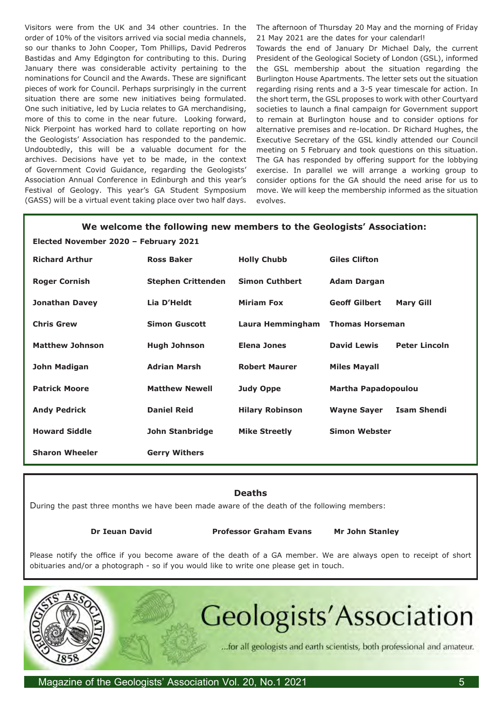Visitors were from the UK and 34 other countries. In the order of 10% of the visitors arrived via social media channels, so our thanks to John Cooper, Tom Phillips, David Pedreros Bastidas and Amy Edgington for contributing to this. During January there was considerable activity pertaining to the nominations for Council and the Awards. These are significant pieces of work for Council. Perhaps surprisingly in the current situation there are some new initiatives being formulated. One such initiative, led by Lucia relates to GA merchandising, more of this to come in the near future. Looking forward, Nick Pierpoint has worked hard to collate reporting on how the Geologists' Association has responded to the pandemic. Undoubtedly, this will be a valuable document for the archives. Decisions have yet to be made, in the context of Government Covid Guidance, regarding the Geologists' Association Annual Conference in Edinburgh and this year's Festival of Geology. This year's GA Student Symposium (GASS) will be a virtual event taking place over two half days.

The afternoon of Thursday 20 May and the morning of Friday 21 May 2021 are the dates for your calendarl!

Towards the end of January Dr Michael Daly, the current President of the Geological Society of London (GSL), informed the GSL membership about the situation regarding the Burlington House Apartments. The letter sets out the situation regarding rising rents and a 3-5 year timescale for action. In the short term, the GSL proposes to work with other Courtyard societies to launch a final campaign for Government support to remain at Burlington house and to consider options for alternative premises and re-location. Dr Richard Hughes, the Executive Secretary of the GSL kindly attended our Council meeting on 5 February and took questions on this situation. The GA has responded by offering support for the lobbying exercise. In parallel we will arrange a working group to consider options for the GA should the need arise for us to move. We will keep the membership informed as the situation evolves.

| We welcome the following new members to the Geologists' Association: |                           |                        |                            |                      |
|----------------------------------------------------------------------|---------------------------|------------------------|----------------------------|----------------------|
| Elected November 2020 - February 2021                                |                           |                        |                            |                      |
| <b>Richard Arthur</b>                                                | <b>Ross Baker</b>         | <b>Holly Chubb</b>     | <b>Giles Clifton</b>       |                      |
| <b>Roger Cornish</b>                                                 | <b>Stephen Crittenden</b> | <b>Simon Cuthbert</b>  | <b>Adam Dargan</b>         |                      |
| <b>Jonathan Davey</b>                                                | Lia D'Heldt               | <b>Miriam Fox</b>      | <b>Geoff Gilbert</b>       | <b>Mary Gill</b>     |
| <b>Chris Grew</b>                                                    | <b>Simon Guscott</b>      | Laura Hemmingham       | <b>Thomas Horseman</b>     |                      |
| <b>Matthew Johnson</b>                                               | <b>Hugh Johnson</b>       | <b>Elena Jones</b>     | <b>David Lewis</b>         | <b>Peter Lincoln</b> |
| John Madigan                                                         | <b>Adrian Marsh</b>       | <b>Robert Maurer</b>   | <b>Miles Mayall</b>        |                      |
| <b>Patrick Moore</b>                                                 | <b>Matthew Newell</b>     | Judy Oppe              | <b>Martha Papadopoulou</b> |                      |
| <b>Andy Pedrick</b>                                                  | <b>Daniel Reid</b>        | <b>Hilary Robinson</b> | <b>Wayne Sayer</b>         | <b>Isam Shendi</b>   |
| <b>Howard Siddle</b>                                                 | John Stanbridge           | <b>Mike Streetly</b>   | <b>Simon Webster</b>       |                      |
| <b>Sharon Wheeler</b>                                                | <b>Gerry Withers</b>      |                        |                            |                      |

**Deaths** During the past three months we have been made aware of the death of the following members:

 **Dr Ieuan David Professor Graham Evans Mr John Stanley** 

Please notify the office if you become aware of the death of a GA member. We are always open to receipt of short obituaries and/or a photograph - so if you would like to write one please get in touch.



**Geologists'Association** 

...for all geologists and earth scientists, both professional and amateur.

Magazine of the Geologists' Association Vol. 20, No.1 2021 **5** Section 1: 1997 5